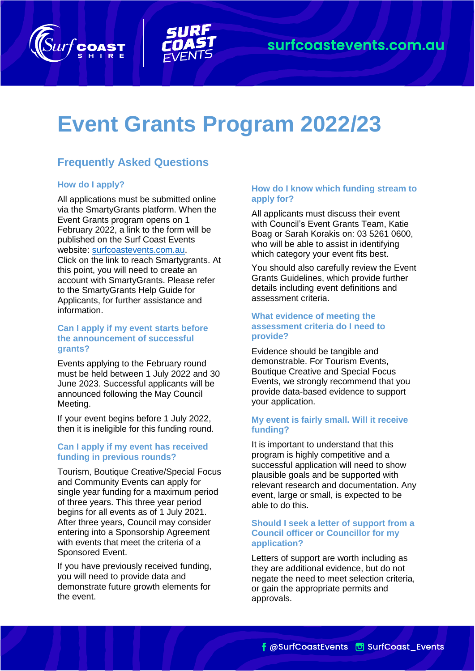



# **Event Grants Program 2022/23**

# **Frequently Asked Questions**

# **How do I apply?**

All applications must be submitted online via the SmartyGrants platform. When the Event Grants program opens on 1 February 2022, a link to the form will be published on the Surf Coast Events website: [surfcoastevents.com.au.](http://www.surfcoastevents.com.au/) Click on the link to reach Smartygrants. At this point, you will need to create an account with SmartyGrants. Please refer to the SmartyGrants Help Guide for Applicants, for further assistance and information.

#### **Can I apply if my event starts before the announcement of successful grants?**

Events applying to the February round must be held between 1 July 2022 and 30 June 2023. Successful applicants will be announced following the May Council Meeting.

If your event begins before 1 July 2022, then it is ineligible for this funding round.

# **Can I apply if my event has received funding in previous rounds?**

Tourism, Boutique Creative/Special Focus and Community Events can apply for single year funding for a maximum period of three years. This three year period begins for all events as of 1 July 2021. After three years, Council may consider entering into a Sponsorship Agreement with events that meet the criteria of a Sponsored Event.

If you have previously received funding, you will need to provide data and demonstrate future growth elements for the event.

# **How do I know which funding stream to apply for?**

All applicants must discuss their event with Council's Event Grants Team, Katie Boag or Sarah Korakis on: 03 5261 0600, who will be able to assist in identifying which category your event fits best.

You should also carefully review the Event Grants Guidelines, which provide further details including event definitions and assessment criteria.

# **What evidence of meeting the assessment criteria do I need to provide?**

Evidence should be tangible and demonstrable. For Tourism Events, Boutique Creative and Special Focus Events, we strongly recommend that you provide data-based evidence to support your application.

# **My event is fairly small. Will it receive funding?**

It is important to understand that this program is highly competitive and a successful application will need to show plausible goals and be supported with relevant research and documentation. Any event, large or small, is expected to be able to do this.

#### **Should I seek a letter of support from a Council officer or Councillor for my application?**

Letters of support are worth including as they are additional evidence, but do not negate the need to meet selection criteria, or gain the appropriate permits and approvals.